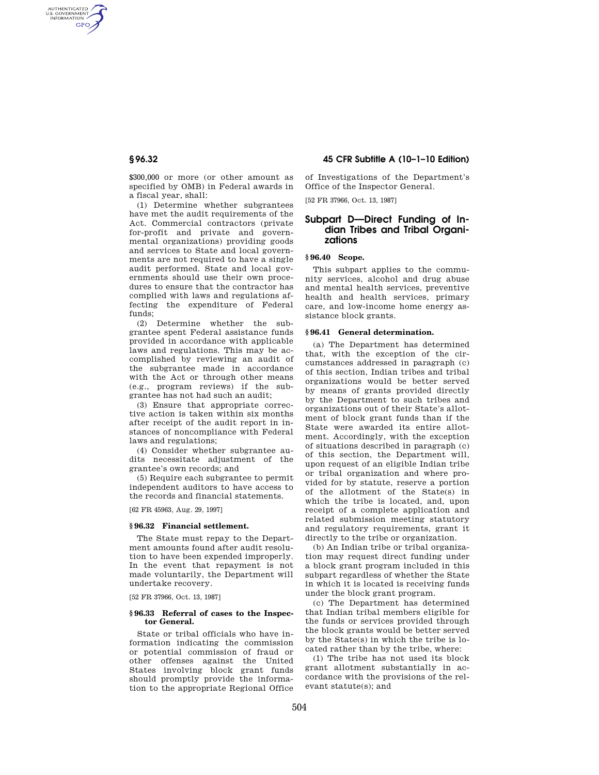AUTHENTICATED<br>U.S. GOVERNMENT<br>INFORMATION GPO

> \$300,000 or more (or other amount as specified by OMB) in Federal awards in a fiscal year, shall:

> (1) Determine whether subgrantees have met the audit requirements of the Act. Commercial contractors (private for-profit and private and governmental organizations) providing goods and services to State and local governments are not required to have a single audit performed. State and local governments should use their own procedures to ensure that the contractor has complied with laws and regulations affecting the expenditure of Federal funds;

> (2) Determine whether the subgrantee spent Federal assistance funds provided in accordance with applicable laws and regulations. This may be accomplished by reviewing an audit of the subgrantee made in accordance with the Act or through other means (e.g., program reviews) if the subgrantee has not had such an audit;

(3) Ensure that appropriate corrective action is taken within six months after receipt of the audit report in instances of noncompliance with Federal laws and regulations;

(4) Consider whether subgrantee audits necessitate adjustment of the grantee's own records; and

(5) Require each subgrantee to permit independent auditors to have access to the records and financial statements.

[62 FR 45963, Aug. 29, 1997]

## **§ 96.32 Financial settlement.**

The State must repay to the Department amounts found after audit resolution to have been expended improperly. In the event that repayment is not made voluntarily, the Department will undertake recovery.

[52 FR 37966, Oct. 13, 1987]

## **§ 96.33 Referral of cases to the Inspector General.**

State or tribal officials who have information indicating the commission or potential commission of fraud or other offenses against the United States involving block grant funds should promptly provide the information to the appropriate Regional Office

# **§ 96.32 45 CFR Subtitle A (10–1–10 Edition)**

of Investigations of the Department's Office of the Inspector General.

[52 FR 37966, Oct. 13, 1987]

# **Subpart D—Direct Funding of Indian Tribes and Tribal Organizations**

# **§ 96.40 Scope.**

This subpart applies to the community services, alcohol and drug abuse and mental health services, preventive health and health services, primary care, and low-income home energy assistance block grants.

### **§ 96.41 General determination.**

(a) The Department has determined that, with the exception of the circumstances addressed in paragraph (c) of this section, Indian tribes and tribal organizations would be better served by means of grants provided directly by the Department to such tribes and organizations out of their State's allotment of block grant funds than if the State were awarded its entire allotment. Accordingly, with the exception of situations described in paragraph (c) of this section, the Department will, upon request of an eligible Indian tribe or tribal organization and where provided for by statute, reserve a portion of the allotment of the State(s) in which the tribe is located, and, upon receipt of a complete application and related submission meeting statutory and regulatory requirements, grant it directly to the tribe or organization.

(b) An Indian tribe or tribal organization may request direct funding under a block grant program included in this subpart regardless of whether the State in which it is located is receiving funds under the block grant program.

(c) The Department has determined that Indian tribal members eligible for the funds or services provided through the block grants would be better served by the State(s) in which the tribe is located rather than by the tribe, where:

(1) The tribe has not used its block grant allotment substantially in accordance with the provisions of the relevant statute(s); and